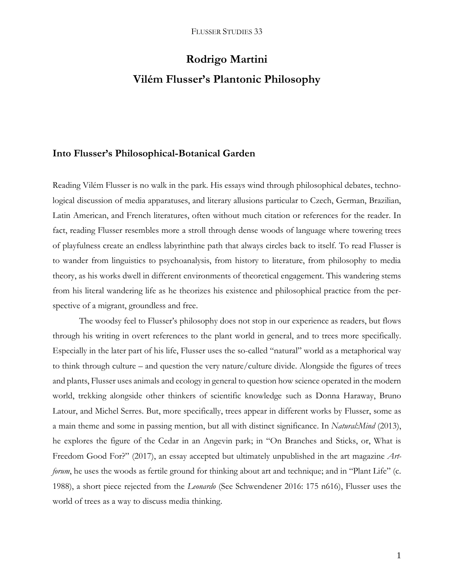# **Rodrigo Martini Vilém Flusser's Plantonic Philosophy**

#### **Into Flusser's Philosophical-Botanical Garden**

Reading Vilém Flusser is no walk in the park. His essays wind through philosophical debates, technological discussion of media apparatuses, and literary allusions particular to Czech, German, Brazilian, Latin American, and French literatures, often without much citation or references for the reader. In fact, reading Flusser resembles more a stroll through dense woods of language where towering trees of playfulness create an endless labyrinthine path that always circles back to itself. To read Flusser is to wander from linguistics to psychoanalysis, from history to literature, from philosophy to media theory, as his works dwell in different environments of theoretical engagement. This wandering stems from his literal wandering life as he theorizes his existence and philosophical practice from the perspective of a migrant, groundless and free.

The woodsy feel to Flusser's philosophy does not stop in our experience as readers, but flows through his writing in overt references to the plant world in general, and to trees more specifically. Especially in the later part of his life, Flusser uses the so-called "natural" world as a metaphorical way to think through culture – and question the very nature/culture divide. Alongside the figures of trees and plants, Flusser uses animals and ecology in general to question how science operated in the modern world, trekking alongside other thinkers of scientific knowledge such as Donna Haraway, Bruno Latour, and Michel Serres. But, more specifically, trees appear in different works by Flusser, some as a main theme and some in passing mention, but all with distinct significance. In *Natural:Mind* (2013), he explores the figure of the Cedar in an Angevin park; in "On Branches and Sticks, or, What is Freedom Good For?" (2017), an essay accepted but ultimately unpublished in the art magazine *Artforum*, he uses the woods as fertile ground for thinking about art and technique; and in "Plant Life" (c. 1988), a short piece rejected from the *Leonardo* (See Schwendener 2016: 175 n616), Flusser uses the world of trees as a way to discuss media thinking.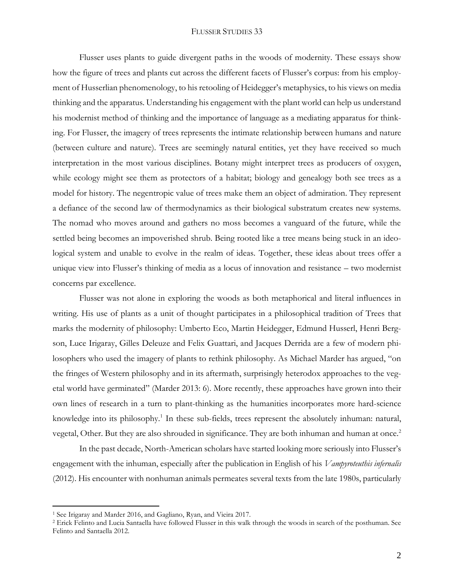Flusser uses plants to guide divergent paths in the woods of modernity. These essays show how the figure of trees and plants cut across the different facets of Flusser's corpus: from his employment of Husserlian phenomenology, to his retooling of Heidegger's metaphysics, to his views on media thinking and the apparatus. Understanding his engagement with the plant world can help us understand his modernist method of thinking and the importance of language as a mediating apparatus for thinking. For Flusser, the imagery of trees represents the intimate relationship between humans and nature (between culture and nature). Trees are seemingly natural entities, yet they have received so much interpretation in the most various disciplines. Botany might interpret trees as producers of oxygen, while ecology might see them as protectors of a habitat; biology and genealogy both see trees as a model for history. The negentropic value of trees make them an object of admiration. They represent a defiance of the second law of thermodynamics as their biological substratum creates new systems. The nomad who moves around and gathers no moss becomes a vanguard of the future, while the settled being becomes an impoverished shrub. Being rooted like a tree means being stuck in an ideological system and unable to evolve in the realm of ideas. Together, these ideas about trees offer a unique view into Flusser's thinking of media as a locus of innovation and resistance – two modernist concerns par excellence.

Flusser was not alone in exploring the woods as both metaphorical and literal influences in writing. His use of plants as a unit of thought participates in a philosophical tradition of Trees that marks the modernity of philosophy: Umberto Eco, Martin Heidegger, Edmund Husserl, Henri Bergson, Luce Irigaray, Gilles Deleuze and Felix Guattari, and Jacques Derrida are a few of modern philosophers who used the imagery of plants to rethink philosophy. As Michael Marder has argued, "on the fringes of Western philosophy and in its aftermath, surprisingly heterodox approaches to the vegetal world have germinated" (Marder 2013: 6). More recently, these approaches have grown into their own lines of research in a turn to plant-thinking as the humanities incorporates more hard-science knowledge into its philosophy.<sup>1</sup> In these sub-fields, trees represent the absolutely inhuman: natural, vegetal, Other. But they are also shrouded in significance. They are both inhuman and human at once.<sup>2</sup>

In the past decade, North-American scholars have started looking more seriously into Flusser's engagement with the inhuman, especially after the publication in English of his *Vampyroteuthis infernalis* (2012). His encounter with nonhuman animals permeates several texts from the late 1980s, particularly

<sup>1</sup> See Irigaray and Marder 2016, and Gagliano, Ryan, and Vieira 2017.

<sup>2</sup> Erick Felinto and Lucia Santaella have followed Flusser in this walk through the woods in search of the posthuman. See Felinto and Santaella 2012.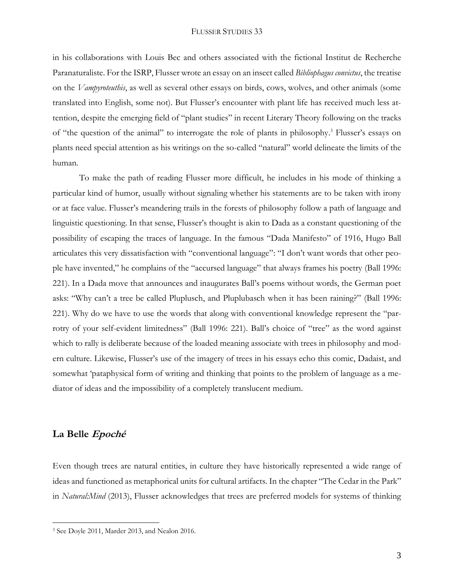in his collaborations with Louis Bec and others associated with the fictional Institut de Recherche Paranaturaliste. For the ISRP, Flusser wrote an essay on an insect called *Bibliophagus convictus*, the treatise on the *Vampyroteuthis*, as well as several other essays on birds, cows, wolves, and other animals (some translated into English, some not). But Flusser's encounter with plant life has received much less attention, despite the emerging field of "plant studies" in recent Literary Theory following on the tracks of "the question of the animal" to interrogate the role of plants in philosophy. <sup>3</sup> Flusser's essays on plants need special attention as his writings on the so-called "natural" world delineate the limits of the human.

To make the path of reading Flusser more difficult, he includes in his mode of thinking a particular kind of humor, usually without signaling whether his statements are to be taken with irony or at face value. Flusser's meandering trails in the forests of philosophy follow a path of language and linguistic questioning. In that sense, Flusser's thought is akin to Dada as a constant questioning of the possibility of escaping the traces of language. In the famous "Dada Manifesto" of 1916, Hugo Ball articulates this very dissatisfaction with "conventional language": "I don't want words that other people have invented," he complains of the "accursed language" that always frames his poetry (Ball 1996: 221). In a Dada move that announces and inaugurates Ball's poems without words, the German poet asks: "Why can't a tree be called Pluplusch, and Pluplubasch when it has been raining?" (Ball 1996: 221). Why do we have to use the words that along with conventional knowledge represent the "parrotry of your self-evident limitedness" (Ball 1996: 221). Ball's choice of "tree" as the word against which to rally is deliberate because of the loaded meaning associate with trees in philosophy and modern culture. Likewise, Flusser's use of the imagery of trees in his essays echo this comic, Dadaist, and somewhat 'pataphysical form of writing and thinking that points to the problem of language as a mediator of ideas and the impossibility of a completely translucent medium.

## **La Belle Epoché**

 $\overline{a}$ 

Even though trees are natural entities, in culture they have historically represented a wide range of ideas and functioned as metaphorical units for cultural artifacts. In the chapter "The Cedar in the Park" in *Natural:Mind* (2013), Flusser acknowledges that trees are preferred models for systems of thinking

<sup>3</sup> See Doyle 2011, Marder 2013, and Nealon 2016.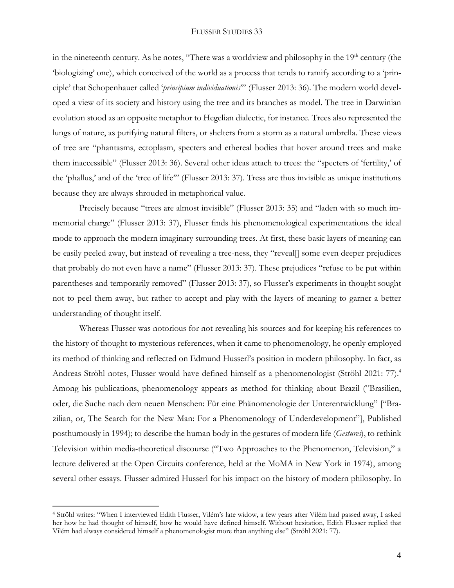in the nineteenth century. As he notes, "There was a worldview and philosophy in the  $19<sup>th</sup>$  century (the 'biologizing' one), which conceived of the world as a process that tends to ramify according to a 'principle' that Schopenhauer called '*principium individuationis*'" (Flusser 2013: 36). The modern world developed a view of its society and history using the tree and its branches as model. The tree in Darwinian evolution stood as an opposite metaphor to Hegelian dialectic, for instance. Trees also represented the lungs of nature, as purifying natural filters, or shelters from a storm as a natural umbrella. These views of tree are "phantasms, ectoplasm, specters and ethereal bodies that hover around trees and make them inaccessible" (Flusser 2013: 36). Several other ideas attach to trees: the "specters of 'fertility,' of the 'phallus,' and of the 'tree of life'" (Flusser 2013: 37). Tress are thus invisible as unique institutions because they are always shrouded in metaphorical value.

Precisely because "trees are almost invisible" (Flusser 2013: 35) and "laden with so much immemorial charge" (Flusser 2013: 37), Flusser finds his phenomenological experimentations the ideal mode to approach the modern imaginary surrounding trees. At first, these basic layers of meaning can be easily peeled away, but instead of revealing a tree-ness, they "reveal[] some even deeper prejudices that probably do not even have a name" (Flusser 2013: 37). These prejudices "refuse to be put within parentheses and temporarily removed" (Flusser 2013: 37), so Flusser's experiments in thought sought not to peel them away, but rather to accept and play with the layers of meaning to garner a better understanding of thought itself.

Whereas Flusser was notorious for not revealing his sources and for keeping his references to the history of thought to mysterious references, when it came to phenomenology, he openly employed its method of thinking and reflected on Edmund Husserl's position in modern philosophy. In fact, as Andreas Ströhl notes, Flusser would have defined himself as a phenomenologist (Ströhl 2021: 77). 4 Among his publications, phenomenology appears as method for thinking about Brazil ("Brasilien, oder, die Suche nach dem neuen Menschen: Für eine Phänomenologie der Unterentwicklung" ["Brazilian, or, The Search for the New Man: For a Phenomenology of Underdevelopment"], Published posthumously in 1994); to describe the human body in the gestures of modern life (*Gestures*), to rethink Television within media-theoretical discourse ("Two Approaches to the Phenomenon, Television," a lecture delivered at the Open Circuits conference, held at the MoMA in New York in 1974), among several other essays. Flusser admired Husserl for his impact on the history of modern philosophy. In

<sup>4</sup> Ströhl writes: "When I interviewed Edith Flusser, Vilém's late widow, a few years after Vilém had passed away, I asked her how he had thought of himself, how he would have defined himself. Without hesitation, Edith Flusser replied that Vilém had always considered himself a phenomenologist more than anything else" (Ströhl 2021: 77).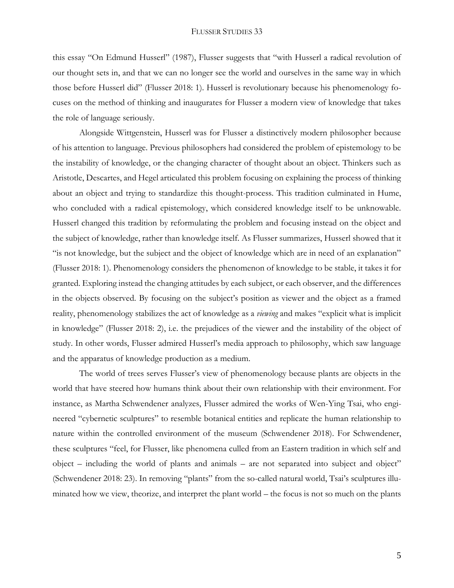this essay "On Edmund Husserl" (1987), Flusser suggests that "with Husserl a radical revolution of our thought sets in, and that we can no longer see the world and ourselves in the same way in which those before Husserl did" (Flusser 2018: 1). Husserl is revolutionary because his phenomenology focuses on the method of thinking and inaugurates for Flusser a modern view of knowledge that takes the role of language seriously.

Alongside Wittgenstein, Husserl was for Flusser a distinctively modern philosopher because of his attention to language. Previous philosophers had considered the problem of epistemology to be the instability of knowledge, or the changing character of thought about an object. Thinkers such as Aristotle, Descartes, and Hegel articulated this problem focusing on explaining the process of thinking about an object and trying to standardize this thought-process. This tradition culminated in Hume, who concluded with a radical epistemology, which considered knowledge itself to be unknowable. Husserl changed this tradition by reformulating the problem and focusing instead on the object and the subject of knowledge, rather than knowledge itself. As Flusser summarizes, Husserl showed that it "is not knowledge, but the subject and the object of knowledge which are in need of an explanation" (Flusser 2018: 1). Phenomenology considers the phenomenon of knowledge to be stable, it takes it for granted. Exploring instead the changing attitudes by each subject, or each observer, and the differences in the objects observed. By focusing on the subject's position as viewer and the object as a framed reality, phenomenology stabilizes the act of knowledge as a *viewing* and makes "explicit what is implicit in knowledge" (Flusser 2018: 2), i.e. the prejudices of the viewer and the instability of the object of study. In other words, Flusser admired Husserl's media approach to philosophy, which saw language and the apparatus of knowledge production as a medium.

The world of trees serves Flusser's view of phenomenology because plants are objects in the world that have steered how humans think about their own relationship with their environment. For instance, as Martha Schwendener analyzes, Flusser admired the works of Wen-Ying Tsai, who engineered "cybernetic sculptures" to resemble botanical entities and replicate the human relationship to nature within the controlled environment of the museum (Schwendener 2018). For Schwendener, these sculptures "feel, for Flusser, like phenomena culled from an Eastern tradition in which self and object – including the world of plants and animals – are not separated into subject and object" (Schwendener 2018: 23). In removing "plants" from the so-called natural world, Tsai's sculptures illuminated how we view, theorize, and interpret the plant world – the focus is not so much on the plants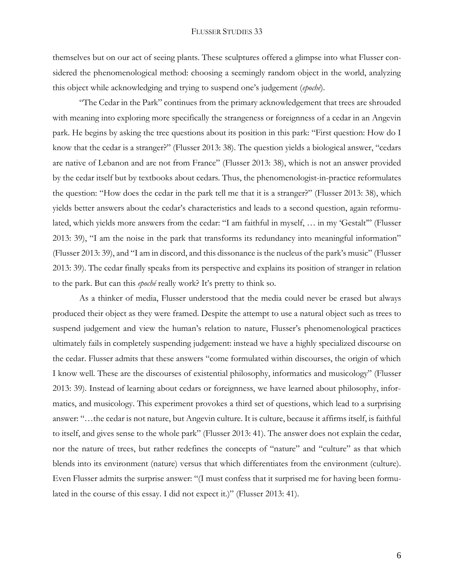themselves but on our act of seeing plants. These sculptures offered a glimpse into what Flusser considered the phenomenological method: choosing a seemingly random object in the world, analyzing this object while acknowledging and trying to suspend one's judgement (*epoché*).

"The Cedar in the Park" continues from the primary acknowledgement that trees are shrouded with meaning into exploring more specifically the strangeness or foreignness of a cedar in an Angevin park. He begins by asking the tree questions about its position in this park: "First question: How do I know that the cedar is a stranger?" (Flusser 2013: 38). The question yields a biological answer, "cedars are native of Lebanon and are not from France" (Flusser 2013: 38), which is not an answer provided by the cedar itself but by textbooks about cedars. Thus, the phenomenologist-in-practice reformulates the question: "How does the cedar in the park tell me that it is a stranger?" (Flusser 2013: 38), which yields better answers about the cedar's characteristics and leads to a second question, again reformulated, which yields more answers from the cedar: "I am faithful in myself, … in my 'Gestalt'" (Flusser 2013: 39), "I am the noise in the park that transforms its redundancy into meaningful information" (Flusser 2013: 39), and "I am in discord, and this dissonance is the nucleus of the park's music" (Flusser 2013: 39). The cedar finally speaks from its perspective and explains its position of stranger in relation to the park. But can this *epoché* really work? It's pretty to think so.

As a thinker of media, Flusser understood that the media could never be erased but always produced their object as they were framed. Despite the attempt to use a natural object such as trees to suspend judgement and view the human's relation to nature, Flusser's phenomenological practices ultimately fails in completely suspending judgement: instead we have a highly specialized discourse on the cedar. Flusser admits that these answers "come formulated within discourses, the origin of which I know well. These are the discourses of existential philosophy, informatics and musicology" (Flusser 2013: 39). Instead of learning about cedars or foreignness, we have learned about philosophy, informatics, and musicology. This experiment provokes a third set of questions, which lead to a surprising answer: "…the cedar is not nature, but Angevin culture. It is culture, because it affirms itself, is faithful to itself, and gives sense to the whole park" (Flusser 2013: 41). The answer does not explain the cedar, nor the nature of trees, but rather redefines the concepts of "nature" and "culture" as that which blends into its environment (nature) versus that which differentiates from the environment (culture). Even Flusser admits the surprise answer: "(I must confess that it surprised me for having been formulated in the course of this essay. I did not expect it.)" (Flusser 2013: 41).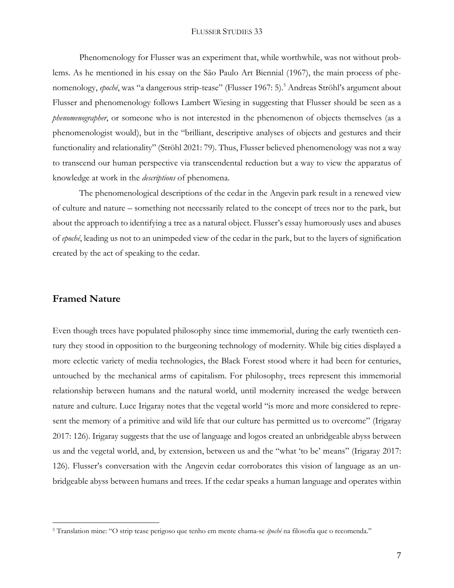Phenomenology for Flusser was an experiment that, while worthwhile, was not without problems. As he mentioned in his essay on the São Paulo Art Biennial (1967), the main process of phenomenology, *epoché*, was "a dangerous strip-tease" (Flusser 1967: 5).<sup>5</sup> Andreas Ströhl's argument about Flusser and phenomenology follows Lambert Wiesing in suggesting that Flusser should be seen as a *phenomenographer*, or someone who is not interested in the phenomenon of objects themselves (as a phenomenologist would), but in the "brilliant, descriptive analyses of objects and gestures and their functionality and relationality" (Ströhl 2021: 79). Thus, Flusser believed phenomenology was not a way to transcend our human perspective via transcendental reduction but a way to view the apparatus of knowledge at work in the *descriptions* of phenomena.

The phenomenological descriptions of the cedar in the Angevin park result in a renewed view of culture and nature – something not necessarily related to the concept of trees nor to the park, but about the approach to identifying a tree as a natural object. Flusser's essay humorously uses and abuses of *epoché*, leading us not to an unimpeded view of the cedar in the park, but to the layers of signification created by the act of speaking to the cedar.

## **Framed Nature**

 $\overline{a}$ 

Even though trees have populated philosophy since time immemorial, during the early twentieth century they stood in opposition to the burgeoning technology of modernity. While big cities displayed a more eclectic variety of media technologies, the Black Forest stood where it had been for centuries, untouched by the mechanical arms of capitalism. For philosophy, trees represent this immemorial relationship between humans and the natural world, until modernity increased the wedge between nature and culture. Luce Irigaray notes that the vegetal world "is more and more considered to represent the memory of a primitive and wild life that our culture has permitted us to overcome" (Irigaray 2017: 126). Irigaray suggests that the use of language and logos created an unbridgeable abyss between us and the vegetal world, and, by extension, between us and the "what 'to be' means" (Irigaray 2017: 126). Flusser's conversation with the Angevin cedar corroborates this vision of language as an unbridgeable abyss between humans and trees. If the cedar speaks a human language and operates within

<sup>5</sup> Translation mine: "O strip tease perigoso que tenho em mente chama-se *époché* na filosofia que o recomenda."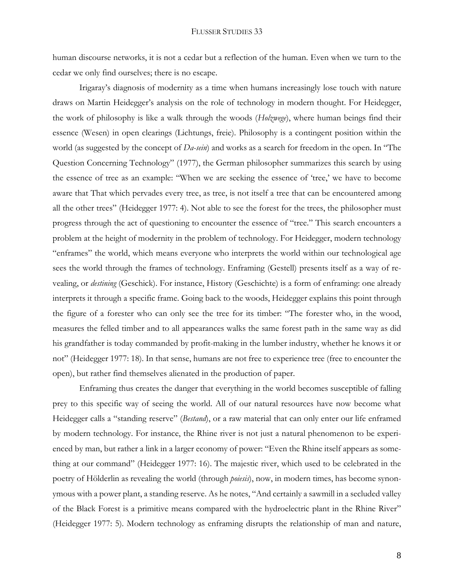human discourse networks, it is not a cedar but a reflection of the human. Even when we turn to the cedar we only find ourselves; there is no escape.

Irigaray's diagnosis of modernity as a time when humans increasingly lose touch with nature draws on Martin Heidegger's analysis on the role of technology in modern thought. For Heidegger, the work of philosophy is like a walk through the woods (*Holzwege*), where human beings find their essence (Wesen) in open clearings (Lichtungs, freie). Philosophy is a contingent position within the world (as suggested by the concept of *Da-sein*) and works as a search for freedom in the open. In "The Question Concerning Technology" (1977), the German philosopher summarizes this search by using the essence of tree as an example: "When we are seeking the essence of 'tree,' we have to become aware that That which pervades every tree, as tree, is not itself a tree that can be encountered among all the other trees" (Heidegger 1977: 4). Not able to see the forest for the trees, the philosopher must progress through the act of questioning to encounter the essence of "tree." This search encounters a problem at the height of modernity in the problem of technology. For Heidegger, modern technology "enframes" the world, which means everyone who interprets the world within our technological age sees the world through the frames of technology. Enframing (Gestell) presents itself as a way of revealing, or *destining* (Geschick). For instance, History (Geschichte) is a form of enframing: one already interprets it through a specific frame. Going back to the woods, Heidegger explains this point through the figure of a forester who can only see the tree for its timber: "The forester who, in the wood, measures the felled timber and to all appearances walks the same forest path in the same way as did his grandfather is today commanded by profit-making in the lumber industry, whether he knows it or not" (Heidegger 1977: 18). In that sense, humans are not free to experience tree (free to encounter the open), but rather find themselves alienated in the production of paper.

Enframing thus creates the danger that everything in the world becomes susceptible of falling prey to this specific way of seeing the world. All of our natural resources have now become what Heidegger calls a "standing reserve" (*Bestand*), or a raw material that can only enter our life enframed by modern technology. For instance, the Rhine river is not just a natural phenomenon to be experienced by man, but rather a link in a larger economy of power: "Even the Rhine itself appears as something at our command" (Heidegger 1977: 16). The majestic river, which used to be celebrated in the poetry of Hölderlin as revealing the world (through *poiesis*), now, in modern times, has become synonymous with a power plant, a standing reserve. As he notes, "And certainly a sawmill in a secluded valley of the Black Forest is a primitive means compared with the hydroelectric plant in the Rhine River" (Heidegger 1977: 5). Modern technology as enframing disrupts the relationship of man and nature,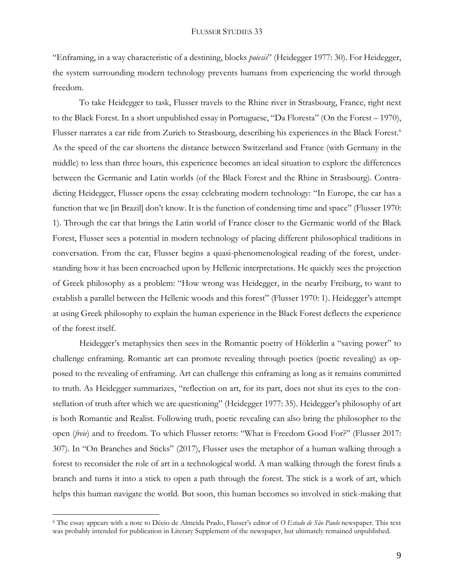"Enframing, in a way characteristic of a destining, blocks *poiesis*" (Heidegger 1977: 30). For Heidegger, the system surrounding modern technology prevents humans from experiencing the world through freedom.

To take Heidegger to task, Flusser travels to the Rhine river in Strasbourg, France, right next to the Black Forest. In a short unpublished essay in Portuguese, "Da Floresta" (On the Forest – 1970), Flusser narrates a car ride from Zurich to Strasbourg, describing his experiences in the Black Forest.<sup>6</sup> As the speed of the car shortens the distance between Switzerland and France (with Germany in the middle) to less than three hours, this experience becomes an ideal situation to explore the differences between the Germanic and Latin worlds (of the Black Forest and the Rhine in Strasbourg). Contradicting Heidegger, Flusser opens the essay celebrating modern technology: "In Europe, the car has a function that we [in Brazil] don't know. It is the function of condensing time and space" (Flusser 1970: 1). Through the car that brings the Latin world of France closer to the Germanic world of the Black Forest, Flusser sees a potential in modern technology of placing different philosophical traditions in conversation. From the car, Flusser begins a quasi-phenomenological reading of the forest, understanding how it has been encroached upon by Hellenic interpretations. He quickly sees the projection of Greek philosophy as a problem: "How wrong was Heidegger, in the nearby Freiburg, to want to establish a parallel between the Hellenic woods and this forest" (Flusser 1970: 1). Heidegger's attempt at using Greek philosophy to explain the human experience in the Black Forest deflects the experience of the forest itself.

Heidegger's metaphysics then sees in the Romantic poetry of Hölderlin a "saving power" to challenge enframing. Romantic art can promote revealing through poetics (poetic revealing) as opposed to the revealing of enframing. Art can challenge this enframing as long as it remains committed to truth. As Heidegger summarizes, "reflection on art, for its part, does not shut its eyes to the constellation of truth after which we are questioning" (Heidegger 1977: 35). Heidegger's philosophy of art is both Romantic and Realist. Following truth, poetic revealing can also bring the philosopher to the open (*freie*) and to freedom. To which Flusser retorts: "What is Freedom Good For?" (Flusser 2017: 307). In "On Branches and Sticks" (2017), Flusser uses the metaphor of a human walking through a forest to reconsider the role of art in a technological world. A man walking through the forest finds a branch and turns it into a stick to open a path through the forest. The stick is a work of art, which helps this human navigate the world. But soon, this human becomes so involved in stick-making that

<sup>6</sup> The essay appears with a note to Décio de Almeida Prado, Flusser's editor of *O Estado de São Paulo* newspaper. This text was probably intended for publication in Literary Supplement of the newspaper, but ultimately remained unpublished.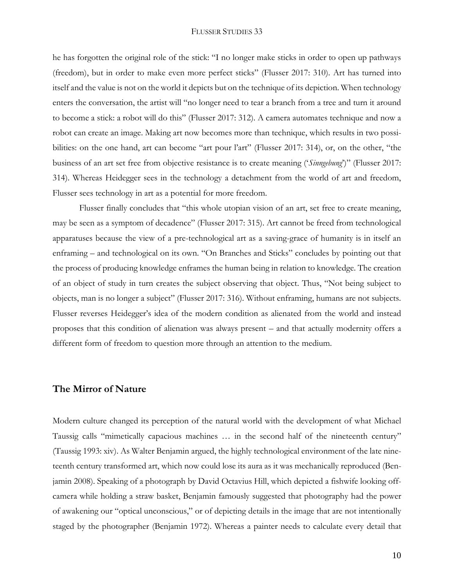he has forgotten the original role of the stick: "I no longer make sticks in order to open up pathways (freedom), but in order to make even more perfect sticks" (Flusser 2017: 310). Art has turned into itself and the value is not on the world it depicts but on the technique of its depiction. When technology enters the conversation, the artist will "no longer need to tear a branch from a tree and turn it around to become a stick: a robot will do this" (Flusser 2017: 312). A camera automates technique and now a robot can create an image. Making art now becomes more than technique, which results in two possibilities: on the one hand, art can become "art pour l'art" (Flusser 2017: 314), or, on the other, "the business of an art set free from objective resistance is to create meaning ('*Sinngebung*')" (Flusser 2017: 314). Whereas Heidegger sees in the technology a detachment from the world of art and freedom, Flusser sees technology in art as a potential for more freedom.

Flusser finally concludes that "this whole utopian vision of an art, set free to create meaning, may be seen as a symptom of decadence" (Flusser 2017: 315). Art cannot be freed from technological apparatuses because the view of a pre-technological art as a saving-grace of humanity is in itself an enframing – and technological on its own. "On Branches and Sticks" concludes by pointing out that the process of producing knowledge enframes the human being in relation to knowledge. The creation of an object of study in turn creates the subject observing that object. Thus, "Not being subject to objects, man is no longer a subject" (Flusser 2017: 316). Without enframing, humans are not subjects. Flusser reverses Heidegger's idea of the modern condition as alienated from the world and instead proposes that this condition of alienation was always present – and that actually modernity offers a different form of freedom to question more through an attention to the medium.

## **The Mirror of Nature**

Modern culture changed its perception of the natural world with the development of what Michael Taussig calls "mimetically capacious machines … in the second half of the nineteenth century" (Taussig 1993: xiv). As Walter Benjamin argued, the highly technological environment of the late nineteenth century transformed art, which now could lose its aura as it was mechanically reproduced (Benjamin 2008). Speaking of a photograph by David Octavius Hill, which depicted a fishwife looking offcamera while holding a straw basket, Benjamin famously suggested that photography had the power of awakening our "optical unconscious," or of depicting details in the image that are not intentionally staged by the photographer (Benjamin 1972). Whereas a painter needs to calculate every detail that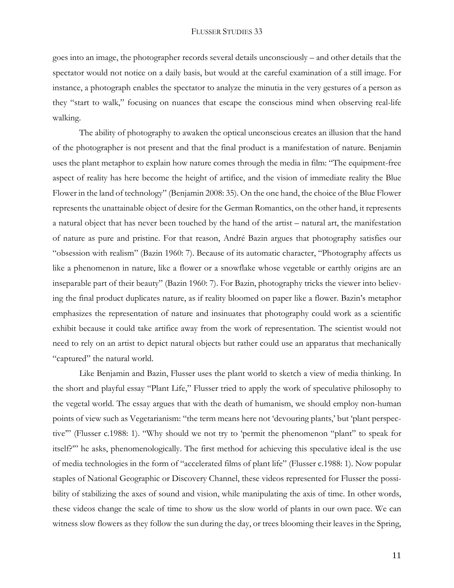goes into an image, the photographer records several details unconsciously – and other details that the spectator would not notice on a daily basis, but would at the careful examination of a still image. For instance, a photograph enables the spectator to analyze the minutia in the very gestures of a person as they "start to walk," focusing on nuances that escape the conscious mind when observing real-life walking.

The ability of photography to awaken the optical unconscious creates an illusion that the hand of the photographer is not present and that the final product is a manifestation of nature. Benjamin uses the plant metaphor to explain how nature comes through the media in film: "The equipment-free aspect of reality has here become the height of artifice, and the vision of immediate reality the Blue Flower in the land of technology" (Benjamin 2008: 35). On the one hand, the choice of the Blue Flower represents the unattainable object of desire for the German Romantics, on the other hand, it represents a natural object that has never been touched by the hand of the artist – natural art, the manifestation of nature as pure and pristine. For that reason, André Bazin argues that photography satisfies our "obsession with realism" (Bazin 1960: 7). Because of its automatic character, "Photography affects us like a phenomenon in nature, like a flower or a snowflake whose vegetable or earthly origins are an inseparable part of their beauty" (Bazin 1960: 7). For Bazin, photography tricks the viewer into believing the final product duplicates nature, as if reality bloomed on paper like a flower. Bazin's metaphor emphasizes the representation of nature and insinuates that photography could work as a scientific exhibit because it could take artifice away from the work of representation. The scientist would not need to rely on an artist to depict natural objects but rather could use an apparatus that mechanically "captured" the natural world.

Like Benjamin and Bazin, Flusser uses the plant world to sketch a view of media thinking. In the short and playful essay "Plant Life," Flusser tried to apply the work of speculative philosophy to the vegetal world. The essay argues that with the death of humanism, we should employ non-human points of view such as Vegetarianism: "the term means here not 'devouring plants,' but 'plant perspective'" (Flusser c.1988: 1). "Why should we not try to 'permit the phenomenon "plant" to speak for itself?'" he asks, phenomenologically. The first method for achieving this speculative ideal is the use of media technologies in the form of "accelerated films of plant life" (Flusser c.1988: 1). Now popular staples of National Geographic or Discovery Channel, these videos represented for Flusser the possibility of stabilizing the axes of sound and vision, while manipulating the axis of time. In other words, these videos change the scale of time to show us the slow world of plants in our own pace. We can witness slow flowers as they follow the sun during the day, or trees blooming their leaves in the Spring,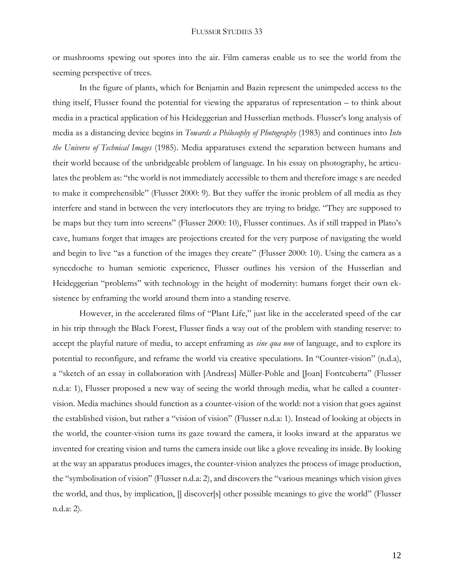or mushrooms spewing out spores into the air. Film cameras enable us to see the world from the seeming perspective of trees.

In the figure of plants, which for Benjamin and Bazin represent the unimpeded access to the thing itself, Flusser found the potential for viewing the apparatus of representation – to think about media in a practical application of his Heideggerian and Husserlian methods. Flusser's long analysis of media as a distancing device begins in *Towards a Philosophy of Photography* (1983) and continues into *Into the Universe of Technical Images* (1985). Media apparatuses extend the separation between humans and their world because of the unbridgeable problem of language. In his essay on photography, he articulates the problem as: "the world is not immediately accessible to them and therefore image s are needed to make it comprehensible" (Flusser 2000: 9). But they suffer the ironic problem of all media as they interfere and stand in between the very interlocutors they are trying to bridge. "They are supposed to be maps but they turn into screens" (Flusser 2000: 10), Flusser continues. As if still trapped in Plato's cave, humans forget that images are projections created for the very purpose of navigating the world and begin to live "as a function of the images they create" (Flusser 2000: 10). Using the camera as a synecdoche to human semiotic experience, Flusser outlines his version of the Husserlian and Heideggerian "problems" with technology in the height of modernity: humans forget their own eksistence by enframing the world around them into a standing reserve.

However, in the accelerated films of "Plant Life," just like in the accelerated speed of the car in his trip through the Black Forest, Flusser finds a way out of the problem with standing reserve: to accept the playful nature of media, to accept enframing as *sine qua non* of language, and to explore its potential to reconfigure, and reframe the world via creative speculations. In "Counter-vision" (n.d.a), a "sketch of an essay in collaboration with [Andreas] Müller-Pohle and [Joan] Fontcuberta" (Flusser n.d.a: 1), Flusser proposed a new way of seeing the world through media, what he called a countervision. Media machines should function as a counter-vision of the world: not a vision that goes against the established vision, but rather a "vision of vision" (Flusser n.d.a: 1). Instead of looking at objects in the world, the counter-vision turns its gaze toward the camera, it looks inward at the apparatus we invented for creating vision and turns the camera inside out like a glove revealing its inside. By looking at the way an apparatus produces images, the counter-vision analyzes the process of image production, the "symbolisation of vision" (Flusser n.d.a: 2), and discovers the "various meanings which vision gives the world, and thus, by implication, [] discover[s] other possible meanings to give the world" (Flusser n.d.a: 2).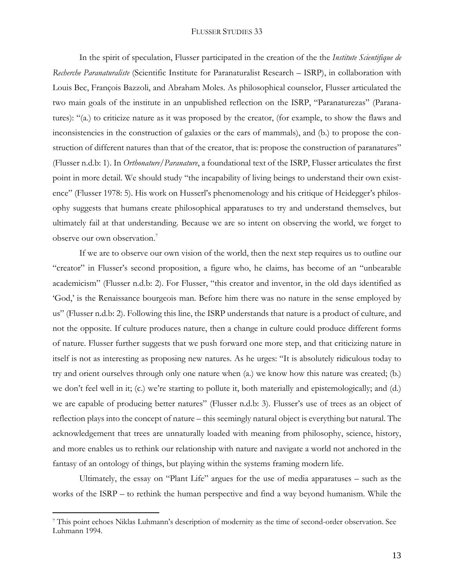In the spirit of speculation, Flusser participated in the creation of the the *Institute Scientifique de Recherche Paranaturaliste* (Scientific Institute for Paranaturalist Research – ISRP), in collaboration with Louis Bec, François Bazzoli, and Abraham Moles. As philosophical counselor, Flusser articulated the two main goals of the institute in an unpublished reflection on the ISRP, "Paranaturezas" (Paranatures): "(a.) to criticize nature as it was proposed by the creator, (for example, to show the flaws and inconsistencies in the construction of galaxies or the ears of mammals), and (b.) to propose the construction of different natures than that of the creator, that is: propose the construction of paranatures" (Flusser n.d.b: 1). In *Orthonature/Paranature*, a foundational text of the ISRP, Flusser articulates the first point in more detail. We should study "the incapability of living beings to understand their own existence" (Flusser 1978: 5). His work on Husserl's phenomenology and his critique of Heidegger's philosophy suggests that humans create philosophical apparatuses to try and understand themselves, but ultimately fail at that understanding. Because we are so intent on observing the world, we forget to observe our own observation.<sup>7</sup>

If we are to observe our own vision of the world, then the next step requires us to outline our "creator" in Flusser's second proposition, a figure who, he claims, has become of an "unbearable" academicism" (Flusser n.d.b: 2). For Flusser, "this creator and inventor, in the old days identified as 'God,' is the Renaissance bourgeois man. Before him there was no nature in the sense employed by us" (Flusser n.d.b: 2). Following this line, the ISRP understands that nature is a product of culture, and not the opposite. If culture produces nature, then a change in culture could produce different forms of nature. Flusser further suggests that we push forward one more step, and that criticizing nature in itself is not as interesting as proposing new natures. As he urges: "It is absolutely ridiculous today to try and orient ourselves through only one nature when (a.) we know how this nature was created; (b.) we don't feel well in it; (c.) we're starting to pollute it, both materially and epistemologically; and (d.) we are capable of producing better natures" (Flusser n.d.b: 3). Flusser's use of trees as an object of reflection plays into the concept of nature – this seemingly natural object is everything but natural. The acknowledgement that trees are unnaturally loaded with meaning from philosophy, science, history, and more enables us to rethink our relationship with nature and navigate a world not anchored in the fantasy of an ontology of things, but playing within the systems framing modern life.

Ultimately, the essay on "Plant Life" argues for the use of media apparatuses – such as the works of the ISRP – to rethink the human perspective and find a way beyond humanism. While the

<sup>7</sup> This point echoes Niklas Luhmann's description of modernity as the time of second-order observation. See Luhmann 1994.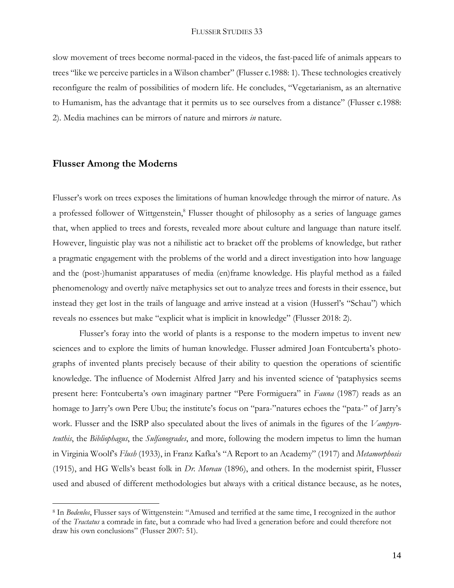slow movement of trees become normal-paced in the videos, the fast-paced life of animals appears to trees "like we perceive particles in a Wilson chamber" (Flusser c.1988: 1). These technologies creatively reconfigure the realm of possibilities of modern life. He concludes, "Vegetarianism, as an alternative to Humanism, has the advantage that it permits us to see ourselves from a distance" (Flusser c.1988: 2). Media machines can be mirrors of nature and mirrors *in* nature.

## **Flusser Among the Moderns**

 $\overline{a}$ 

Flusser's work on trees exposes the limitations of human knowledge through the mirror of nature. As a professed follower of Wittgenstein,<sup>8</sup> Flusser thought of philosophy as a series of language games that, when applied to trees and forests, revealed more about culture and language than nature itself. However, linguistic play was not a nihilistic act to bracket off the problems of knowledge, but rather a pragmatic engagement with the problems of the world and a direct investigation into how language and the (post-)humanist apparatuses of media (en)frame knowledge. His playful method as a failed phenomenology and overtly naïve metaphysics set out to analyze trees and forests in their essence, but instead they get lost in the trails of language and arrive instead at a vision (Husserl's "Schau") which reveals no essences but make "explicit what is implicit in knowledge" (Flusser 2018: 2).

Flusser's foray into the world of plants is a response to the modern impetus to invent new sciences and to explore the limits of human knowledge. Flusser admired Joan Fontcuberta's photographs of invented plants precisely because of their ability to question the operations of scientific knowledge. The influence of Modernist Alfred Jarry and his invented science of 'pataphysics seems present here: Fontcuberta's own imaginary partner "Pere Formiguera" in *Fauna* (1987) reads as an homage to Jarry's own Pere Ubu; the institute's focus on "para-"natures echoes the "pata-" of Jarry's work. Flusser and the ISRP also speculated about the lives of animals in the figures of the *Vampyroteuthis*, the *Bibliophagus*, the *Sulfanogrades*, and more, following the modern impetus to limn the human in Virginia Woolf's *Flush* (1933), in Franz Kafka's "A Report to an Academy" (1917) and *Metamorphosis* (1915), and HG Wells's beast folk in *Dr. Moreau* (1896), and others. In the modernist spirit, Flusser used and abused of different methodologies but always with a critical distance because, as he notes,

<sup>8</sup> In *Bodenlos*, Flusser says of Wittgenstein: "Amused and terrified at the same time, I recognized in the author of the *Tractatus* a comrade in fate, but a comrade who had lived a generation before and could therefore not draw his own conclusions" (Flusser 2007: 51).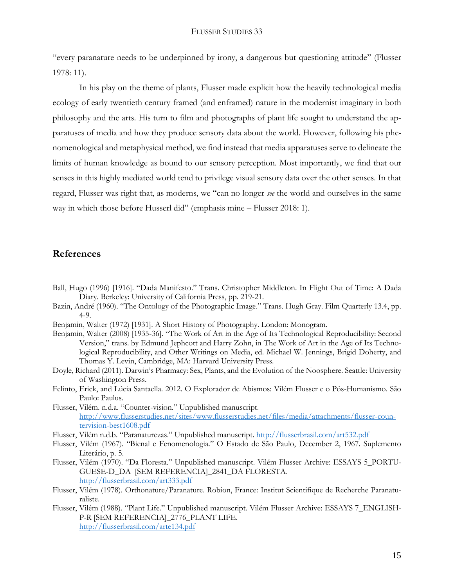"every paranature needs to be underpinned by irony, a dangerous but questioning attitude" (Flusser 1978: 11).

In his play on the theme of plants, Flusser made explicit how the heavily technological media ecology of early twentieth century framed (and enframed) nature in the modernist imaginary in both philosophy and the arts. His turn to film and photographs of plant life sought to understand the apparatuses of media and how they produce sensory data about the world. However, following his phenomenological and metaphysical method, we find instead that media apparatuses serve to delineate the limits of human knowledge as bound to our sensory perception. Most importantly, we find that our senses in this highly mediated world tend to privilege visual sensory data over the other senses. In that regard, Flusser was right that, as moderns, we "can no longer *see* the world and ourselves in the same way in which those before Husserl did" (emphasis mine – Flusser 2018: 1).

## **References**

- Ball, Hugo (1996) [1916]. "Dada Manifesto." Trans. Christopher Middleton. In Flight Out of Time: A Dada Diary. Berkeley: University of California Press, pp. 219-21.
- Bazin, André (1960). "The Ontology of the Photographic Image." Trans. Hugh Gray. Film Quarterly 13.4, pp. 4-9.
- Benjamin, Walter (1972) [1931]. A Short History of Photography. London: Monogram.
- Benjamin, Walter (2008) [1935-36]. "The Work of Art in the Age of Its Technological Reproducibility: Second Version," trans. by Edmund Jephcott and Harry Zohn, in The Work of Art in the Age of Its Technological Reproducibility, and Other Writings on Media, ed. Michael W. Jennings, Brigid Doherty, and Thomas Y. Levin, Cambridge, MA: Harvard University Press.
- Doyle, Richard (2011). Darwin's Pharmacy: Sex, Plants, and the Evolution of the Noosphere. Seattle: University of Washington Press.
- Felinto, Erick, and Lúcia Santaella. 2012. O Explorador de Abismos: Vilém Flusser e o Pós-Humanismo. São Paulo: Paulus.
- Flusser, Vilém. n.d.a. "Counter-vision." Unpublished manuscript. [http://www.flusserstudies.net/sites/www.flusserstudies.net/files/media/attachments/flusser-coun](http://www.flusserstudies.net/sites/www.flusserstudies.net/files/media/attachments/flusser-countervision-best1608.pdf)[tervision-best1608.pdf](http://www.flusserstudies.net/sites/www.flusserstudies.net/files/media/attachments/flusser-countervision-best1608.pdf)
- Flusser, Vilém n.d.b. "Paranaturezas." Unpublished manuscript. <http://flusserbrasil.com/art532.pdf>
- Flusser, Vilém (1967). "Bienal e Fenomenologia." O Estado de São Paulo, December 2, 1967. Suplemento Literário, p. 5.
- Flusser, Vilém (1970). "Da Floresta." Unpublished manuscript. Vilém Flusser Archive: ESSAYS 5\_PORTU-GUESE-D\_DA [SEM REFERENCIA]\_2841\_DA FLORESTA. <http://flusserbrasil.com/art333.pdf>
- Flusser, Vilém (1978). Orthonature/Paranature. Robion, France: Institut Scientifique de Recherche Paranaturaliste.
- Flusser, Vilém (1988). "Plant Life." Unpublished manuscript. Vilém Flusser Archive: ESSAYS 7\_ENGLISH-P-R [SEM REFERENCIA]\_2776\_PLANT LIFE. <http://flusserbrasil.com/arte134.pdf>